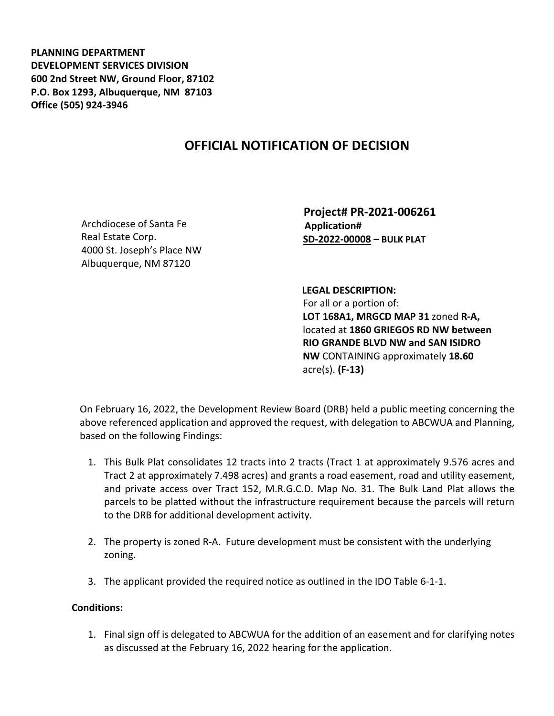**PLANNING DEPARTMENT DEVELOPMENT SERVICES DIVISION 600 2nd Street NW, Ground Floor, 87102 P.O. Box 1293, Albuquerque, NM 87103 Office (505) 924-3946** 

## **OFFICIAL NOTIFICATION OF DECISION**

Archdiocese of Santa Fe Real Estate Corp. 4000 St. Joseph's Place NW Albuquerque, NM 87120

 **Project# PR-2021-006261 Application# SD-2022-00008 – BULK PLAT**

 **LEGAL DESCRIPTION:** For all or a portion of: **LOT 168A1, MRGCD MAP 31** zoned **R-A,**  located at **1860 GRIEGOS RD NW between RIO GRANDE BLVD NW and SAN ISIDRO NW** CONTAINING approximately **18.60**  acre(s). **(F-13)**

On February 16, 2022, the Development Review Board (DRB) held a public meeting concerning the above referenced application and approved the request, with delegation to ABCWUA and Planning, based on the following Findings:

- 1. This Bulk Plat consolidates 12 tracts into 2 tracts (Tract 1 at approximately 9.576 acres and Tract 2 at approximately 7.498 acres) and grants a road easement, road and utility easement, and private access over Tract 152, M.R.G.C.D. Map No. 31. The Bulk Land Plat allows the parcels to be platted without the infrastructure requirement because the parcels will return to the DRB for additional development activity.
- 2. The property is zoned R-A. Future development must be consistent with the underlying zoning.
- 3. The applicant provided the required notice as outlined in the IDO Table 6-1-1.

## **Conditions:**

1. Final sign off is delegated to ABCWUA for the addition of an easement and for clarifying notes as discussed at the February 16, 2022 hearing for the application.